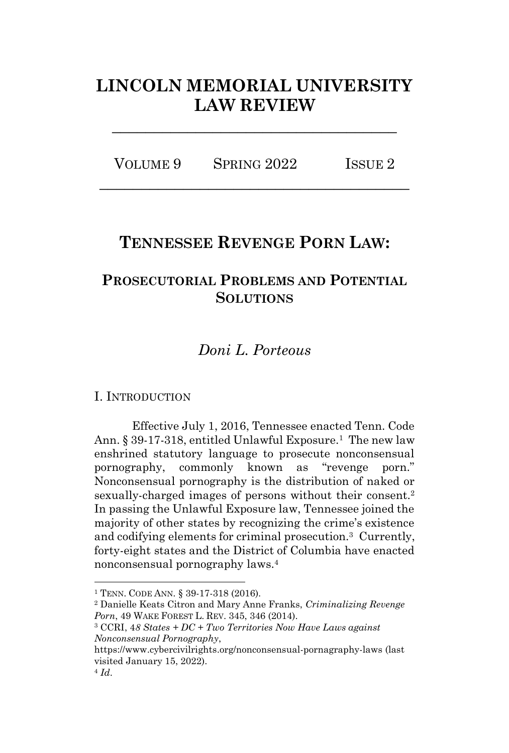# **LINCOLN MEMORIAL UNIVERSITY LAW REVIEW**

**\_\_\_\_\_\_\_\_\_\_\_\_\_\_\_\_\_\_\_\_\_\_\_\_\_\_\_\_\_\_\_\_\_\_**

| VOLUME 9 | SPRING 2022 | ISSUE <sub>2</sub> |
|----------|-------------|--------------------|
|          |             |                    |

## **TENNESSEE REVENGE PORN LAW:**

## **PROSECUTORIAL PROBLEMS AND POTENTIAL SOLUTIONS**

## *Doni L. Porteous*

## I. INTRODUCTION

Effective July 1, 2016, Tennessee enacted Tenn. Code Ann. § 39-17-318, entitled Unlawful Exposure.<sup>1</sup> The new law enshrined statutory language to prosecute nonconsensual pornography, commonly known as "revenge porn." Nonconsensual pornography is the distribution of naked or sexually-charged images of persons without their consent.<sup>2</sup> In passing the Unlawful Exposure law, Tennessee joined the majority of other states by recognizing the crime's existence and codifying elements for criminal prosecution.<sup>3</sup> Currently, forty-eight states and the District of Columbia have enacted nonconsensual pornography laws.<sup>4</sup>

<sup>1</sup> TENN. CODE ANN. § 39-17-318 (2016).

<sup>2</sup> Danielle Keats Citron and Mary Anne Franks, *Criminalizing Revenge Porn*, 49 WAKE FOREST L. REV. 345, 346 (2014).

<sup>3</sup> CCRI, 4*8 States + DC + Two Territories Now Have Laws against Nonconsensual Pornography*,

https://www.cybercivilrights.org/nonconsensual-pornagraphy-laws (last visited January 15, 2022).

<sup>4</sup> *Id*.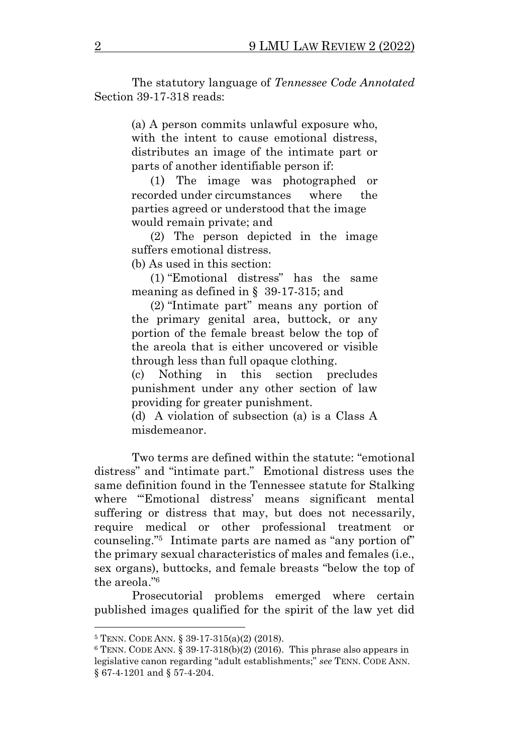The statutory language of *Tennessee Code Annotated* Section 39-17-318 reads:

> (a) A person commits unlawful exposure who, with the intent to cause emotional distress, distributes an image of the intimate part or parts of another identifiable person if:

> (1) The image was photographed or recorded under circumstances where the parties agreed or understood that the image would remain private; and

> (2) The person depicted in the image suffers emotional distress.

(b) As used in this section:

(1) "Emotional distress" has the same meaning as defined in § 39-17-315; and

(2) "Intimate part" means any portion of the primary genital area, buttock, or any portion of the female breast below the top of the areola that is either uncovered or visible through less than full opaque clothing.

(c) Nothing in this section precludes punishment under any other section of law providing for greater punishment.

(d) A violation of subsection (a) is a Class A misdemeanor.

Two terms are defined within the statute: "emotional distress" and "intimate part." Emotional distress uses the same definition found in the Tennessee statute for Stalking where "'Emotional distress' means significant mental suffering or distress that may, but does not necessarily, require medical or other professional treatment or counseling."<sup>5</sup> Intimate parts are named as "any portion of" the primary sexual characteristics of males and females (i.e., sex organs), buttocks, and female breasts "below the top of the areola." 6

Prosecutorial problems emerged where certain published images qualified for the spirit of the law yet did

<sup>5</sup> TENN. CODE ANN. § 39-17-315(a)(2) (2018).

 $6$  TENN. CODE ANN. § 39-17-318(b)(2) (2016). This phrase also appears in legislative canon regarding "adult establishments;" *see* TENN. CODE ANN. § 67-4-1201 and § 57-4-204.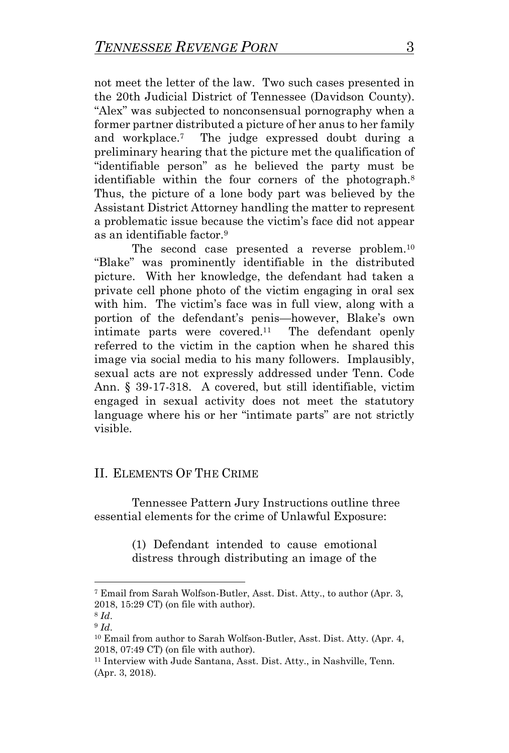not meet the letter of the law. Two such cases presented in the 20th Judicial District of Tennessee (Davidson County). "Alex" was subjected to nonconsensual pornography when a former partner distributed a picture of her anus to her family and workplace.<sup>7</sup> The judge expressed doubt during a preliminary hearing that the picture met the qualification of "identifiable person" as he believed the party must be identifiable within the four corners of the photograph.<sup>8</sup> Thus, the picture of a lone body part was believed by the Assistant District Attorney handling the matter to represent a problematic issue because the victim's face did not appear as an identifiable factor.<sup>9</sup>

The second case presented a reverse problem.<sup>10</sup> "Blake" was prominently identifiable in the distributed picture. With her knowledge, the defendant had taken a private cell phone photo of the victim engaging in oral sex with him. The victim's face was in full view, along with a portion of the defendant's penis—however, Blake's own intimate parts were covered.<sup>11</sup> The defendant openly referred to the victim in the caption when he shared this image via social media to his many followers. Implausibly, sexual acts are not expressly addressed under Tenn. Code Ann. § 39-17-318. A covered, but still identifiable, victim engaged in sexual activity does not meet the statutory language where his or her "intimate parts" are not strictly visible.

## II. ELEMENTS OF THE CRIME

Tennessee Pattern Jury Instructions outline three essential elements for the crime of Unlawful Exposure:

> (1) Defendant intended to cause emotional distress through distributing an image of the

<sup>7</sup> Email from Sarah Wolfson-Butler, Asst. Dist. Atty., to author (Apr. 3, 2018, 15:29 CT) (on file with author).

<sup>8</sup> *Id*.

<sup>9</sup> *Id*.

<sup>10</sup> Email from author to Sarah Wolfson-Butler, Asst. Dist. Atty. (Apr. 4, 2018, 07:49 CT) (on file with author).

<sup>11</sup> Interview with Jude Santana, Asst. Dist. Atty., in Nashville, Tenn. (Apr. 3, 2018).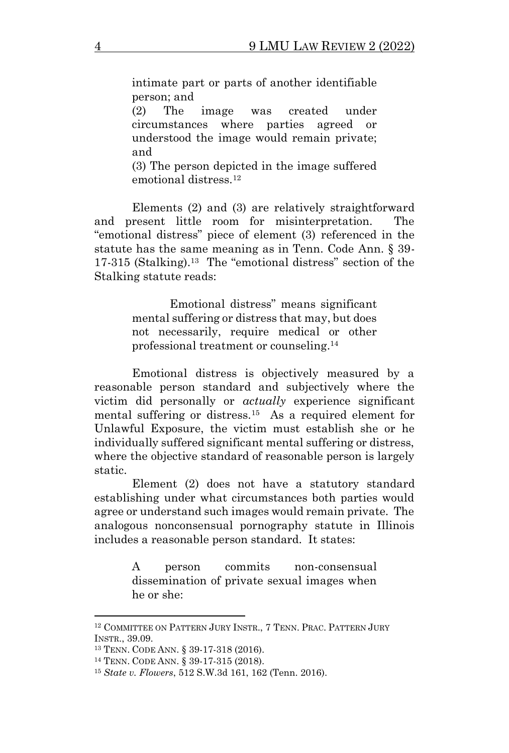intimate part or parts of another identifiable person; and

(2) The image was created under circumstances where parties agreed or understood the image would remain private; and

(3) The person depicted in the image suffered emotional distress.<sup>12</sup>

Elements (2) and (3) are relatively straightforward and present little room for misinterpretation. The "emotional distress" piece of element (3) referenced in the statute has the same meaning as in Tenn. Code Ann. § 39- 17-315 (Stalking).<sup>13</sup> The "emotional distress" section of the Stalking statute reads:

> Emotional distress" means significant mental suffering or distress that may, but does not necessarily, require medical or other professional treatment or counseling.<sup>14</sup>

Emotional distress is objectively measured by a reasonable person standard and subjectively where the victim did personally or *actually* experience significant mental suffering or distress.<sup>15</sup> As a required element for Unlawful Exposure, the victim must establish she or he individually suffered significant mental suffering or distress, where the objective standard of reasonable person is largely static.

Element (2) does not have a statutory standard establishing under what circumstances both parties would agree or understand such images would remain private. The analogous nonconsensual pornography statute in Illinois includes a reasonable person standard. It states:

> A person commits non-consensual dissemination of private sexual images when he or she:

<sup>&</sup>lt;sup>12</sup> COMMITTEE ON PATTERN JURY INSTR., 7 TENN. PRAC. PATTERN JURY INSTR., 39.09.

<sup>13</sup> TENN. CODE ANN. § 39-17-318 (2016).

<sup>14</sup> TENN. CODE ANN. § 39-17-315 (2018).

<sup>15</sup> *State v. Flowers*, 512 S.W.3d 161, 162 (Tenn. 2016).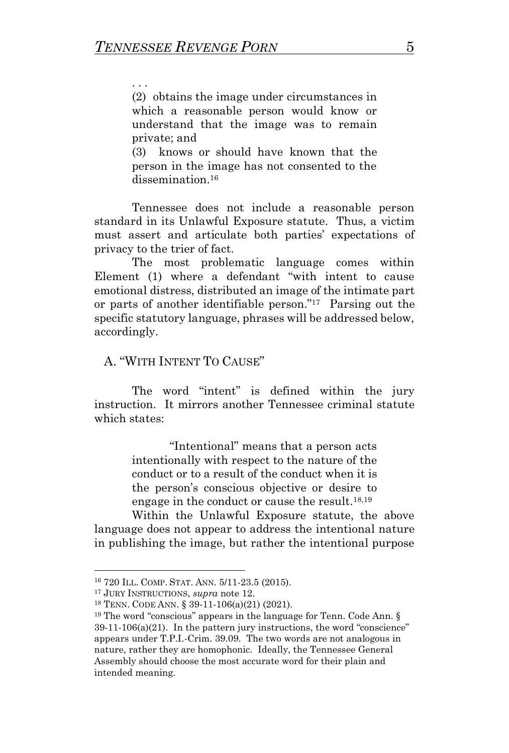. . .

(2) obtains the image under circumstances in which a reasonable person would know or understand that the image was to remain private; and

(3) knows or should have known that the person in the image has not consented to the dissemination.<sup>16</sup>

Tennessee does not include a reasonable person standard in its Unlawful Exposure statute. Thus, a victim must assert and articulate both parties' expectations of privacy to the trier of fact.

The most problematic language comes within Element (1) where a defendant "with intent to cause emotional distress, distributed an image of the intimate part or parts of another identifiable person."<sup>17</sup> Parsing out the specific statutory language, phrases will be addressed below, accordingly.

## A. "WITH INTENT TO CAUSE"

The word "intent" is defined within the jury instruction. It mirrors another Tennessee criminal statute which states:

> "Intentional" means that a person acts intentionally with respect to the nature of the conduct or to a result of the conduct when it is the person's conscious objective or desire to engage in the conduct or cause the result.18,19

Within the Unlawful Exposure statute, the above language does not appear to address the intentional nature in publishing the image, but rather the intentional purpose

<sup>16</sup> 720 ILL. COMP. STAT. ANN. 5/11-23.5 (2015).

<sup>17</sup> JURY INSTRUCTIONS, *supra* note 12.

<sup>18</sup> TENN. CODE ANN. § 39-11-106(a)(21) (2021).

 $19$  The word "conscious" appears in the language for Tenn. Code Ann. §  $39-11-106(a)(21)$ . In the pattern jury instructions, the word "conscience" appears under T.P.I.-Crim. 39.09. The two words are not analogous in nature, rather they are homophonic. Ideally, the Tennessee General Assembly should choose the most accurate word for their plain and intended meaning.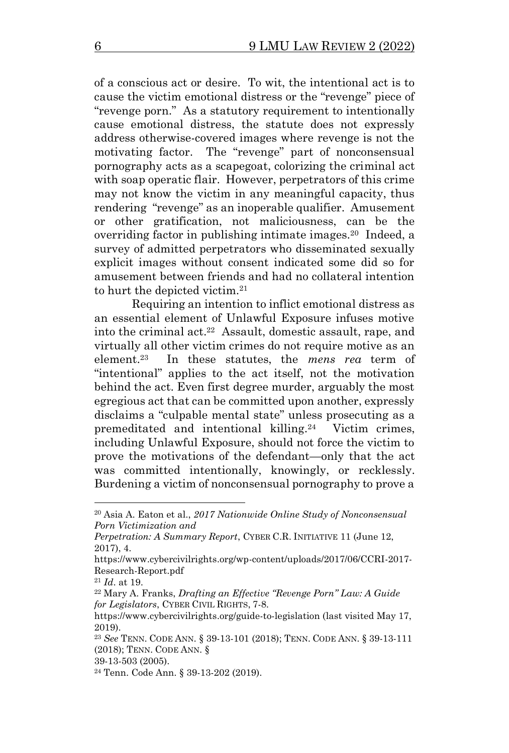of a conscious act or desire. To wit, the intentional act is to cause the victim emotional distress or the "revenge" piece of "revenge porn." As a statutory requirement to intentionally cause emotional distress, the statute does not expressly address otherwise-covered images where revenge is not the motivating factor. The "revenge" part of nonconsensual pornography acts as a scapegoat, colorizing the criminal act with soap operatic flair. However, perpetrators of this crime may not know the victim in any meaningful capacity, thus rendering "revenge" as an inoperable qualifier. Amusement or other gratification, not maliciousness, can be the overriding factor in publishing intimate images.<sup>20</sup> Indeed, a survey of admitted perpetrators who disseminated sexually explicit images without consent indicated some did so for amusement between friends and had no collateral intention to hurt the depicted victim.<sup>21</sup>

Requiring an intention to inflict emotional distress as an essential element of Unlawful Exposure infuses motive into the criminal act.<sup>22</sup> Assault, domestic assault, rape, and virtually all other victim crimes do not require motive as an element.<sup>23</sup> In these statutes, the *mens rea* term of "intentional" applies to the act itself, not the motivation behind the act. Even first degree murder, arguably the most egregious act that can be committed upon another, expressly disclaims a "culpable mental state" unless prosecuting as a premeditated and intentional killing.<sup>24</sup> Victim crimes, including Unlawful Exposure, should not force the victim to prove the motivations of the defendant—only that the act was committed intentionally, knowingly, or recklessly. Burdening a victim of nonconsensual pornography to prove a

<sup>20</sup> Asia A. Eaton et al., *2017 Nationwide Online Study of Nonconsensual Porn Victimization and*

*Perpetration: A Summary Report*, CYBER C.R. INITIATIVE 11 (June 12, 2017), 4.

https://www.cybercivilrights.org/wp-content/uploads/2017/06/CCRI-2017- Research-Report.pdf

<sup>21</sup> *Id*. at 19.

<sup>22</sup> Mary A. Franks, *Drafting an Effective "Revenge Porn" Law: A Guide for Legislators*, CYBER CIVIL RIGHTS, 7-8.

https://www.cybercivilrights.org/guide-to-legislation (last visited May 17, 2019).

<sup>23</sup> *See* TENN. CODE ANN. § 39-13-101 (2018); TENN. CODE ANN. § 39-13-111 (2018); TENN. CODE ANN. §

<sup>39-13-503 (2005).</sup>

<sup>24</sup> Tenn. Code Ann. § 39-13-202 (2019).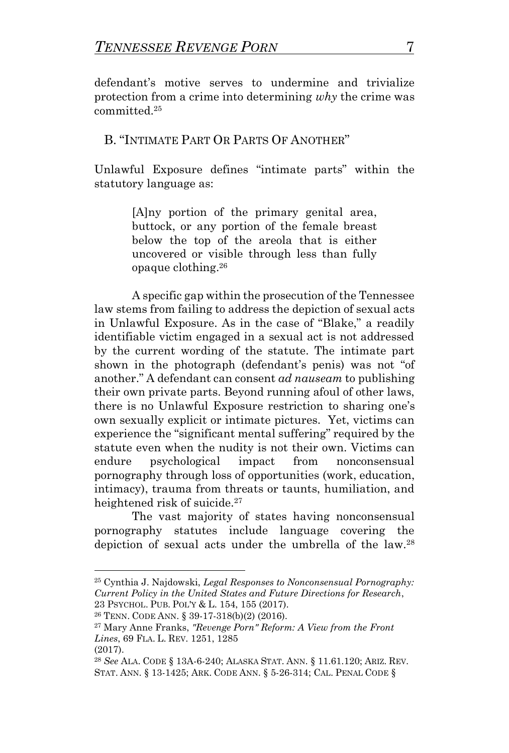defendant's motive serves to undermine and trivialize protection from a crime into determining *why* the crime was committed.<sup>25</sup>

## B. "INTIMATE PART OR PARTS OF ANOTHER"

Unlawful Exposure defines "intimate parts" within the statutory language as:

> [A]ny portion of the primary genital area, buttock, or any portion of the female breast below the top of the areola that is either uncovered or visible through less than fully opaque clothing.<sup>26</sup>

A specific gap within the prosecution of the Tennessee law stems from failing to address the depiction of sexual acts in Unlawful Exposure. As in the case of "Blake," a readily identifiable victim engaged in a sexual act is not addressed by the current wording of the statute. The intimate part shown in the photograph (defendant's penis) was not "of another." A defendant can consent *ad nauseam* to publishing their own private parts. Beyond running afoul of other laws, there is no Unlawful Exposure restriction to sharing one's own sexually explicit or intimate pictures. Yet, victims can experience the "significant mental suffering" required by the statute even when the nudity is not their own. Victims can endure psychological impact from nonconsensual pornography through loss of opportunities (work, education, intimacy), trauma from threats or taunts, humiliation, and heightened risk of suicide.<sup>27</sup>

The vast majority of states having nonconsensual pornography statutes include language covering the depiction of sexual acts under the umbrella of the law.<sup>28</sup>

<sup>25</sup> Cynthia J. Najdowski, *Legal Responses to Nonconsensual Pornography: Current Policy in the United States and Future Directions for Research*, 23 PSYCHOL. PUB. POL'Y & L. 154, 155 (2017).

<sup>26</sup> TENN. CODE ANN. § 39-17-318(b)(2) (2016).

<sup>27</sup> Mary Anne Franks, *"Revenge Porn" Reform: A View from the Front Lines*, 69 FLA. L. REV. 1251, 1285

<sup>(2017).</sup>

<sup>28</sup> *See* ALA. CODE § 13A-6-240; ALASKA STAT. ANN. § 11.61.120; ARIZ. REV. STAT. ANN. § 13-1425; ARK. CODE ANN. § 5-26-314; CAL. PENAL CODE §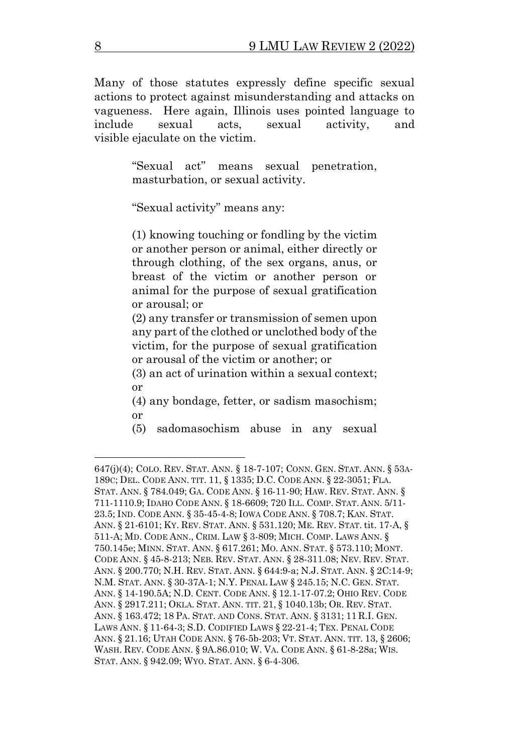Many of those statutes expressly define specific sexual actions to protect against misunderstanding and attacks on vagueness. Here again, Illinois uses pointed language to include sexual acts, sexual activity, and visible ejaculate on the victim.

> "Sexual act" means sexual penetration, masturbation, or sexual activity.

"Sexual activity" means any:

(1) knowing touching or fondling by the victim or another person or animal, either directly or through clothing, of the sex organs, anus, or breast of the victim or another person or animal for the purpose of sexual gratification or arousal; or

(2) any transfer or transmission of semen upon any part of the clothed or unclothed body of the victim, for the purpose of sexual gratification or arousal of the victim or another; or

(3) an act of urination within a sexual context; or

(4) any bondage, fetter, or sadism masochism; or

(5) sadomasochism abuse in any sexual

<sup>647(</sup>j)(4); COLO. REV. STAT. ANN. § 18-7-107; CONN. GEN. STAT. ANN. § 53A-189C; DEL. CODE ANN. TIT. 11, § 1335; D.C. CODE ANN. § 22-3051; FLA. STAT. ANN. § 784.049; GA. CODE ANN. § 16-11-90; HAW. REV. STAT. ANN. § 711-1110.9; IDAHO CODE ANN. § 18-6609; 720 ILL. COMP. STAT. ANN. 5/11- 23.5; IND. CODE ANN. § 35-45-4-8; IOWA CODE ANN. § 708.7; KAN. STAT. ANN. § 21-6101; KY. REV. STAT. ANN. § 531.120; ME. REV. STAT. tit. 17-A, § 511-A; MD. CODE ANN., CRIM. LAW § 3-809; MICH. COMP. LAWS ANN. § 750.145e; MINN. STAT. ANN. § 617.261; MO. ANN. STAT. § 573.110; MONT. CODE ANN. § 45-8-213; NEB. REV. STAT. ANN. § 28-311.08; NEV. REV. STAT. ANN. § 200.770; N.H. REV. STAT. ANN. § 644:9-a; N.J. STAT. ANN. § 2C:14-9; N.M. STAT. ANN. § 30-37A-1; N.Y. PENAL LAW § 245.15; N.C. GEN. STAT. ANN. § 14-190.5A; N.D. CENT. CODE ANN. § 12.1-17-07.2; OHIO REV. CODE ANN. § 2917.211; OKLA. STAT. ANN. TIT. 21, § 1040.13b; OR. REV. STAT. ANN. § 163.472; 18 PA. STAT. AND CONS. STAT. ANN. § 3131; 11 R.I. GEN. LAWS ANN. § 11-64-3; S.D. CODIFIED LAWS § 22-21-4; TEX. PENAL CODE ANN. § 21.16; UTAH CODE ANN. § 76-5b-203; VT. STAT. ANN. TIT. 13, § 2606; WASH. REV. CODE ANN. § 9A.86.010; W. VA. CODE ANN. § 61-8-28a; WIS. STAT. ANN. § 942.09; WYO. STAT. ANN. § 6-4-306.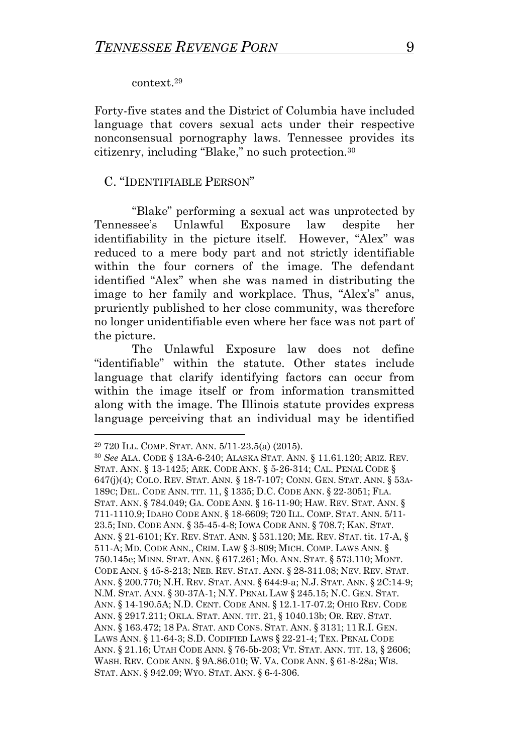#### context.<sup>29</sup>

Forty-five states and the District of Columbia have included language that covers sexual acts under their respective nonconsensual pornography laws. Tennessee provides its citizenry, including "Blake," no such protection.<sup>30</sup>

#### C. "IDENTIFIABLE PERSON"

"Blake" performing a sexual act was unprotected by Tennessee's Unlawful Exposure law despite her identifiability in the picture itself. However, "Alex" was reduced to a mere body part and not strictly identifiable within the four corners of the image. The defendant identified "Alex" when she was named in distributing the image to her family and workplace. Thus, "Alex's" anus, pruriently published to her close community, was therefore no longer unidentifiable even where her face was not part of the picture.

The Unlawful Exposure law does not define "identifiable" within the statute. Other states include language that clarify identifying factors can occur from within the image itself or from information transmitted along with the image. The Illinois statute provides express language perceiving that an individual may be identified

<sup>29</sup> 720 ILL. COMP. STAT. ANN. 5/11-23.5(a) (2015).

<sup>30</sup> *See* ALA. CODE § 13A-6-240; ALASKA STAT. ANN. § 11.61.120; ARIZ. REV. STAT. ANN. § 13-1425; ARK. CODE ANN. § 5-26-314; CAL. PENAL CODE § 647(j)(4); COLO. REV. STAT. ANN. § 18-7-107; CONN. GEN. STAT. ANN. § 53A-189C; DEL. CODE ANN. TIT. 11, § 1335; D.C. CODE ANN. § 22-3051; FLA. STAT. ANN. § 784.049; GA. CODE ANN. § 16-11-90; HAW. REV. STAT. ANN. § 711-1110.9; IDAHO CODE ANN. § 18-6609; 720 ILL. COMP. STAT. ANN. 5/11- 23.5; IND. CODE ANN. § 35-45-4-8; IOWA CODE ANN. § 708.7; KAN. STAT. ANN. § 21-6101; KY. REV. STAT. ANN. § 531.120; ME. REV. STAT.tit. 17-A, § 511-A; MD. CODE ANN., CRIM. LAW § 3-809; MICH. COMP. LAWS ANN. § 750.145e; MINN. STAT. ANN. § 617.261; MO. ANN. STAT. § 573.110; MONT. CODE ANN. § 45-8-213; NEB. REV. STAT. ANN. § 28-311.08; NEV. REV. STAT. ANN. § 200.770; N.H. REV. STAT. ANN. § 644:9-a; N.J. STAT. ANN. § 2C:14-9; N.M. STAT. ANN. § 30-37A-1; N.Y. PENAL LAW § 245.15; N.C. GEN. STAT. ANN. § 14-190.5A; N.D. CENT. CODE ANN. § 12.1-17-07.2; OHIO REV. CODE ANN. § 2917.211; OKLA. STAT. ANN. TIT. 21, § 1040.13b; OR. REV. STAT. ANN. § 163.472; 18 PA. STAT. AND CONS. STAT. ANN. § 3131; 11 R.I. GEN. LAWS ANN. § 11-64-3; S.D. CODIFIED LAWS § 22-21-4; TEX. PENAL CODE ANN. § 21.16; UTAH CODE ANN. § 76-5b-203; VT. STAT. ANN. TIT. 13, § 2606; WASH. REV. CODE ANN. § 9A.86.010; W. VA. CODE ANN. § 61-8-28a; WIS. STAT. ANN. § 942.09; WYO. STAT. ANN. § 6-4-306.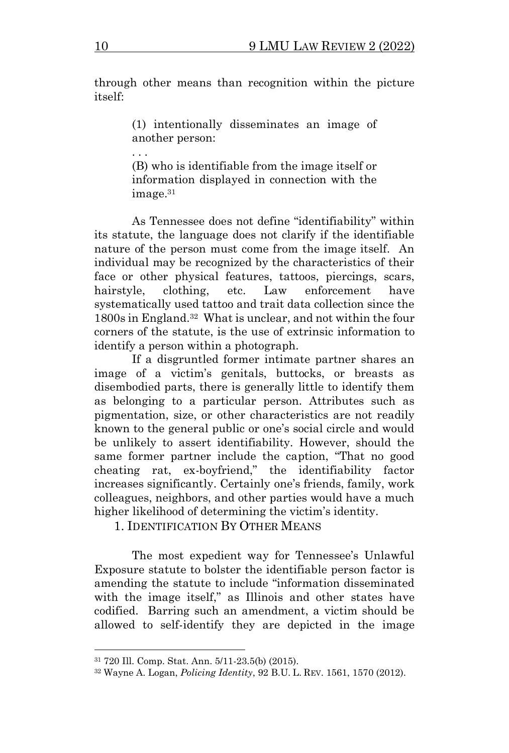through other means than recognition within the picture itself:

> (1) intentionally disseminates an image of another person:

> (B) who is identifiable from the image itself or information displayed in connection with the image.<sup>31</sup>

As Tennessee does not define "identifiability" within its statute, the language does not clarify if the identifiable nature of the person must come from the image itself. An individual may be recognized by the characteristics of their face or other physical features, tattoos, piercings, scars, hairstyle, clothing, etc. Law enforcement have systematically used tattoo and trait data collection since the 1800s in England.<sup>32</sup> What is unclear, and not within the four corners of the statute, is the use of extrinsic information to identify a person within a photograph.

If a disgruntled former intimate partner shares an image of a victim's genitals, buttocks, or breasts as disembodied parts, there is generally little to identify them as belonging to a particular person. Attributes such as pigmentation, size, or other characteristics are not readily known to the general public or one's social circle and would be unlikely to assert identifiability. However, should the same former partner include the caption, "That no good cheating rat, ex-boyfriend," the identifiability factor increases significantly. Certainly one's friends, family, work colleagues, neighbors, and other parties would have a much higher likelihood of determining the victim's identity.

1. IDENTIFICATION BY OTHER MEANS

The most expedient way for Tennessee's Unlawful Exposure statute to bolster the identifiable person factor is amending the statute to include "information disseminated with the image itself," as Illinois and other states have codified. Barring such an amendment, a victim should be allowed to self-identify they are depicted in the image

. . .

<sup>31</sup> 720 Ill. Comp. Stat. Ann. 5/11-23.5(b) (2015).

<sup>32</sup> Wayne A. Logan, *Policing Identity*, 92 B.U. L. REV. 1561, 1570 (2012).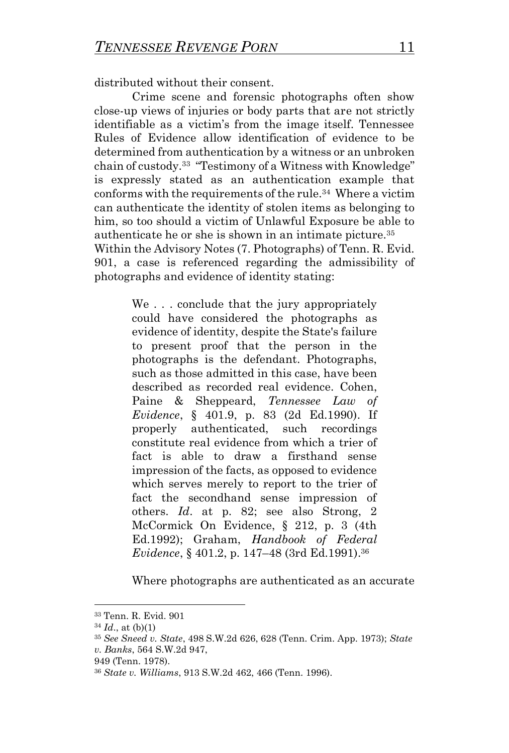distributed without their consent.

Crime scene and forensic photographs often show close-up views of injuries or body parts that are not strictly identifiable as a victim's from the image itself. Tennessee Rules of Evidence allow identification of evidence to be determined from authentication by a witness or an unbroken chain of custody.<sup>33</sup> "Testimony of a Witness with Knowledge" is expressly stated as an authentication example that conforms with the requirements of the rule.<sup>34</sup> Where a victim can authenticate the identity of stolen items as belonging to him, so too should a victim of Unlawful Exposure be able to authenticate he or she is shown in an intimate picture.<sup>35</sup> Within the Advisory Notes (7. Photographs) of Tenn. R. Evid. 901, a case is referenced regarding the admissibility of photographs and evidence of identity stating:

> We . . . conclude that the jury appropriately could have considered the photographs as evidence of identity, despite the State's failure to present proof that the person in the photographs is the defendant. Photographs, such as those admitted in this case, have been described as recorded real evidence. Cohen, Paine & Sheppeard, *Tennessee Law of Evidence*, § 401.9, p. 83 (2d Ed.1990). If properly authenticated, such recordings constitute real evidence from which a trier of fact is able to draw a firsthand sense impression of the facts, as opposed to evidence which serves merely to report to the trier of fact the secondhand sense impression of others. *Id*. at p. 82; see also Strong, 2 McCormick On Evidence, § 212, p. 3 (4th Ed.1992); Graham, *Handbook of Federal Evidence*, § 401.2, p. 147–48 (3rd Ed.1991).<sup>36</sup>

Where photographs are authenticated as an accurate

<sup>33</sup> Tenn. R. Evid. 901

 $34$  *Id.*, at (b)(1)

<sup>35</sup> *See Sneed v. State*, 498 S.W.2d 626, 628 (Tenn. Crim. App. 1973); *State v. Banks*, 564 S.W.2d 947,

<sup>949 (</sup>Tenn. 1978).

<sup>36</sup> *State v. Williams*, 913 S.W.2d 462, 466 (Tenn. 1996).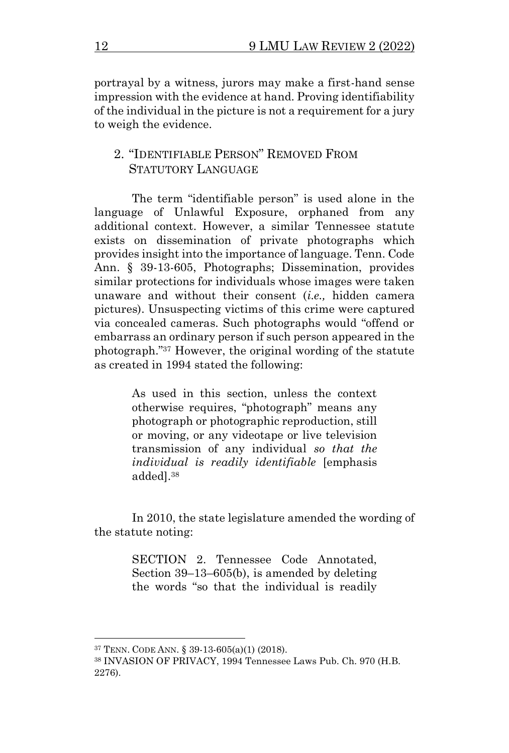portrayal by a witness, jurors may make a first-hand sense impression with the evidence at hand. Proving identifiability of the individual in the picture is not a requirement for a jury to weigh the evidence.

## 2. "IDENTIFIABLE PERSON" REMOVED FROM STATUTORY LANGUAGE

The term "identifiable person" is used alone in the language of Unlawful Exposure, orphaned from any additional context. However, a similar Tennessee statute exists on dissemination of private photographs which provides insight into the importance of language. Tenn. Code Ann. § 39-13-605, Photographs; Dissemination, provides similar protections for individuals whose images were taken unaware and without their consent (*i.e.,* hidden camera pictures). Unsuspecting victims of this crime were captured via concealed cameras. Such photographs would "offend or embarrass an ordinary person if such person appeared in the photograph."<sup>37</sup> However, the original wording of the statute as created in 1994 stated the following:

> As used in this section, unless the context otherwise requires, "photograph" means any photograph or photographic reproduction, still or moving, or any videotape or live television transmission of any individual *so that the individual is readily identifiable* [emphasis added].<sup>38</sup>

In 2010, the state legislature amended the wording of the statute noting:

> SECTION 2. Tennessee Code Annotated, Section 39–13–605(b), is amended by deleting the words "so that the individual is readily

<sup>37</sup> TENN. CODE ANN. § 39-13-605(a)(1) (2018).

<sup>38</sup> INVASION OF PRIVACY, 1994 Tennessee Laws Pub. Ch. 970 (H.B. 2276).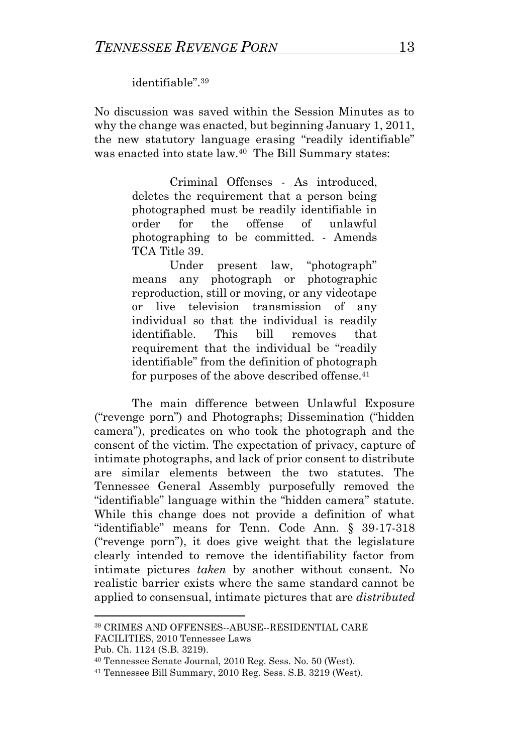identifiable".<sup>39</sup>

No discussion was saved within the Session Minutes as to why the change was enacted, but beginning January 1, 2011, the new statutory language erasing "readily identifiable" was enacted into state law.<sup>40</sup> The Bill Summary states:

> Criminal Offenses - As introduced, deletes the requirement that a person being photographed must be readily identifiable in order for the offense of unlawful photographing to be committed. - Amends TCA Title 39.

> Under present law, "photograph" means any photograph or photographic reproduction, still or moving, or any videotape or live television transmission of any individual so that the individual is readily identifiable. This bill removes that requirement that the individual be "readily identifiable" from the definition of photograph for purposes of the above described offense.<sup>41</sup>

The main difference between Unlawful Exposure ("revenge porn") and Photographs; Dissemination ("hidden camera"), predicates on who took the photograph and the consent of the victim. The expectation of privacy, capture of intimate photographs, and lack of prior consent to distribute are similar elements between the two statutes. The Tennessee General Assembly purposefully removed the "identifiable" language within the "hidden camera" statute. While this change does not provide a definition of what "identifiable" means for Tenn. Code Ann. § 39-17-318 ("revenge porn"), it does give weight that the legislature clearly intended to remove the identifiability factor from intimate pictures *taken* by another without consent. No realistic barrier exists where the same standard cannot be applied to consensual, intimate pictures that are *distributed*

<sup>39</sup> CRIMES AND OFFENSES--ABUSE--RESIDENTIAL CARE FACILITIES, 2010 Tennessee Laws

Pub. Ch. 1124 (S.B. 3219).

<sup>40</sup> Tennessee Senate Journal, 2010 Reg. Sess. No. 50 (West).

<sup>41</sup> Tennessee Bill Summary, 2010 Reg. Sess. S.B. 3219 (West).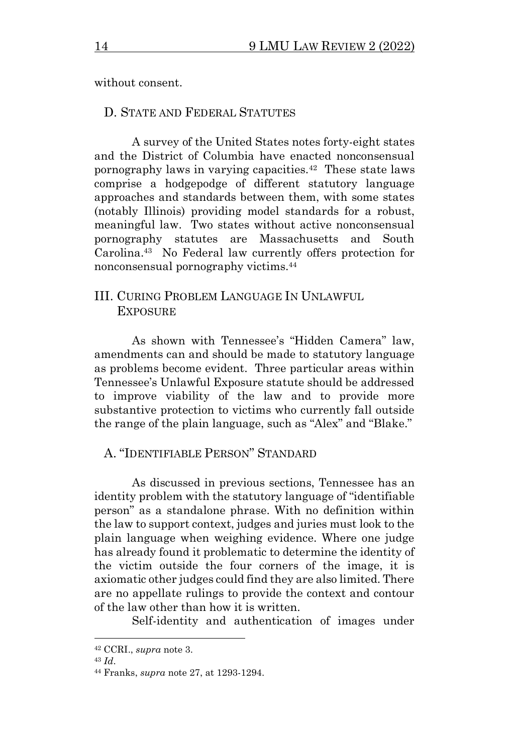without consent.

#### D. STATE AND FEDERAL STATUTES

A survey of the United States notes forty-eight states and the District of Columbia have enacted nonconsensual pornography laws in varying capacities.<sup>42</sup> These state laws comprise a hodgepodge of different statutory language approaches and standards between them, with some states (notably Illinois) providing model standards for a robust, meaningful law. Two states without active nonconsensual pornography statutes are Massachusetts and South Carolina.<sup>43</sup> No Federal law currently offers protection for nonconsensual pornography victims.<sup>44</sup>

## III. CURING PROBLEM LANGUAGE IN UNLAWFUL **EXPOSURE**

As shown with Tennessee's "Hidden Camera" law, amendments can and should be made to statutory language as problems become evident. Three particular areas within Tennessee's Unlawful Exposure statute should be addressed to improve viability of the law and to provide more substantive protection to victims who currently fall outside the range of the plain language, such as "Alex" and "Blake."

### A. "IDENTIFIABLE PERSON" STANDARD

As discussed in previous sections, Tennessee has an identity problem with the statutory language of "identifiable person" as a standalone phrase. With no definition within the law to support context, judges and juries must look to the plain language when weighing evidence. Where one judge has already found it problematic to determine the identity of the victim outside the four corners of the image, it is axiomatic other judges could find they are also limited. There are no appellate rulings to provide the context and contour of the law other than how it is written.

Self-identity and authentication of images under

<sup>42</sup> CCRI., *supra* note 3.

<sup>43</sup> *Id*.

<sup>44</sup> Franks, *supra* note 27, at 1293-1294.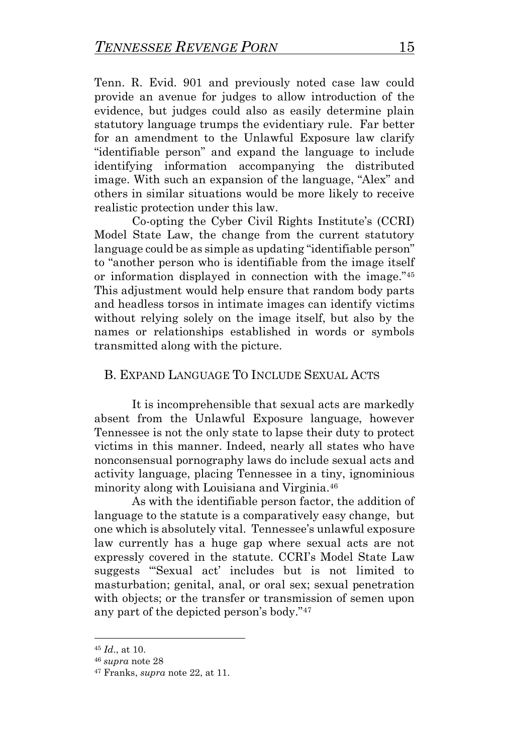Tenn. R. Evid. 901 and previously noted case law could provide an avenue for judges to allow introduction of the evidence, but judges could also as easily determine plain statutory language trumps the evidentiary rule. Far better for an amendment to the Unlawful Exposure law clarify "identifiable person" and expand the language to include identifying information accompanying the distributed image. With such an expansion of the language, "Alex" and others in similar situations would be more likely to receive realistic protection under this law.

Co-opting the Cyber Civil Rights Institute's (CCRI) Model State Law, the change from the current statutory language could be as simple as updating "identifiable person" to "another person who is identifiable from the image itself or information displayed in connection with the image."<sup>45</sup> This adjustment would help ensure that random body parts and headless torsos in intimate images can identify victims without relying solely on the image itself, but also by the names or relationships established in words or symbols transmitted along with the picture.

## B. EXPAND LANGUAGE TO INCLUDE SEXUAL ACTS

It is incomprehensible that sexual acts are markedly absent from the Unlawful Exposure language, however Tennessee is not the only state to lapse their duty to protect victims in this manner. Indeed, nearly all states who have nonconsensual pornography laws do include sexual acts and activity language, placing Tennessee in a tiny, ignominious minority along with Louisiana and Virginia.<sup>46</sup>

As with the identifiable person factor, the addition of language to the statute is a comparatively easy change, but one which is absolutely vital. Tennessee's unlawful exposure law currently has a huge gap where sexual acts are not expressly covered in the statute. CCRI's Model State Law suggests "'Sexual act' includes but is not limited to masturbation; genital, anal, or oral sex; sexual penetration with objects; or the transfer or transmission of semen upon any part of the depicted person's body."<sup>47</sup>

<sup>45</sup> *Id*., at 10.

<sup>46</sup> *supra* note 28

<sup>47</sup> Franks, *supra* note 22, at 11.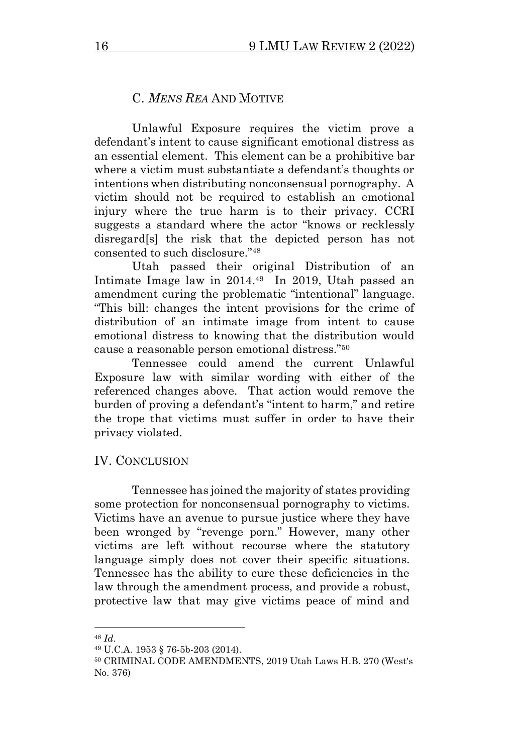### C. *MENS REA* AND MOTIVE

Unlawful Exposure requires the victim prove a defendant's intent to cause significant emotional distress as an essential element. This element can be a prohibitive bar where a victim must substantiate a defendant's thoughts or intentions when distributing nonconsensual pornography. A victim should not be required to establish an emotional injury where the true harm is to their privacy. CCRI suggests a standard where the actor "knows or recklessly disregard[s] the risk that the depicted person has not consented to such disclosure."<sup>48</sup>

Utah passed their original Distribution of an Intimate Image law in 2014.<sup>49</sup> In 2019, Utah passed an amendment curing the problematic "intentional" language. "This bill: changes the intent provisions for the crime of distribution of an intimate image from intent to cause emotional distress to knowing that the distribution would cause a reasonable person emotional distress."<sup>50</sup>

Tennessee could amend the current Unlawful Exposure law with similar wording with either of the referenced changes above. That action would remove the burden of proving a defendant's "intent to harm," and retire the trope that victims must suffer in order to have their privacy violated.

#### IV. CONCLUSION

Tennessee has joined the majority of states providing some protection for nonconsensual pornography to victims. Victims have an avenue to pursue justice where they have been wronged by "revenge porn." However, many other victims are left without recourse where the statutory language simply does not cover their specific situations. Tennessee has the ability to cure these deficiencies in the law through the amendment process, and provide a robust, protective law that may give victims peace of mind and

<sup>48</sup> *Id*.

<sup>49</sup> U.C.A. 1953 § 76-5b-203 (2014).

<sup>50</sup> CRIMINAL CODE AMENDMENTS, 2019 Utah Laws H.B. 270 (West's No. 376)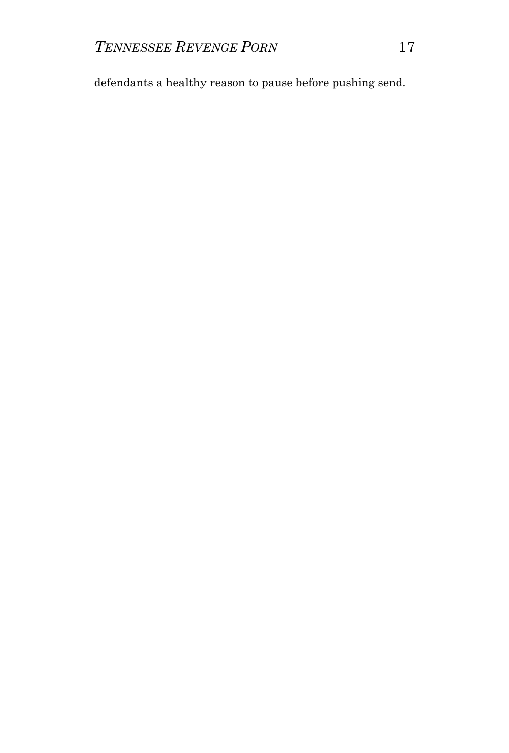defendants a healthy reason to pause before pushing send.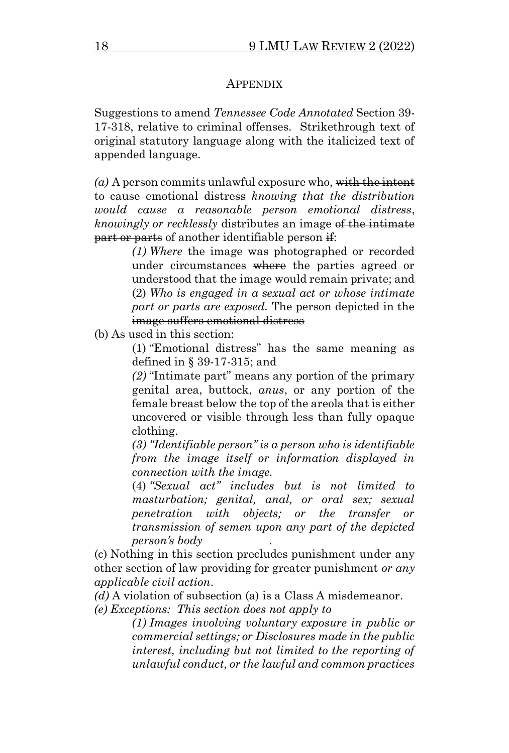#### APPENDIX

Suggestions to amend *Tennessee Code Annotated* Section 39- 17-318, relative to criminal offenses. Strikethrough text of original statutory language along with the italicized text of appended language.

*(a)* A person commits unlawful exposure who, with the intent to cause emotional distress *knowing that the distribution would cause a reasonable person emotional distress*, *knowingly or recklessly* distributes an image of the intimate part or parts of another identifiable person if:

> *(1) Where* the image was photographed or recorded under circumstances where the parties agreed or understood that the image would remain private; and (2) *Who is engaged in a sexual act or whose intimate part or parts are exposed.* The person depicted in the image suffers emotional distress

(b) As used in this section:

(1) "Emotional distress" has the same meaning as defined in § 39-17-315; and

*(2)* "Intimate part" means any portion of the primary genital area, buttock, *anus*, or any portion of the female breast below the top of the areola that is either uncovered or visible through less than fully opaque clothing.

*(3) "Identifiable person" is a person who is identifiable from the image itself or information displayed in connection with the image.*

(4) *"Sexual act" includes but is not limited to masturbation; genital, anal, or oral sex; sexual penetration with objects; or the transfer or transmission of semen upon any part of the depicted person's body .* 

(c) Nothing in this section precludes punishment under any other section of law providing for greater punishment *or any applicable civil action*.

*(d)* A violation of subsection (a) is a Class A misdemeanor.

*(e) Exceptions: This section does not apply to*

*(1) Images involving voluntary exposure in public or commercial settings; or Disclosures made in the public interest, including but not limited to the reporting of unlawful conduct, or the lawful and common practices*